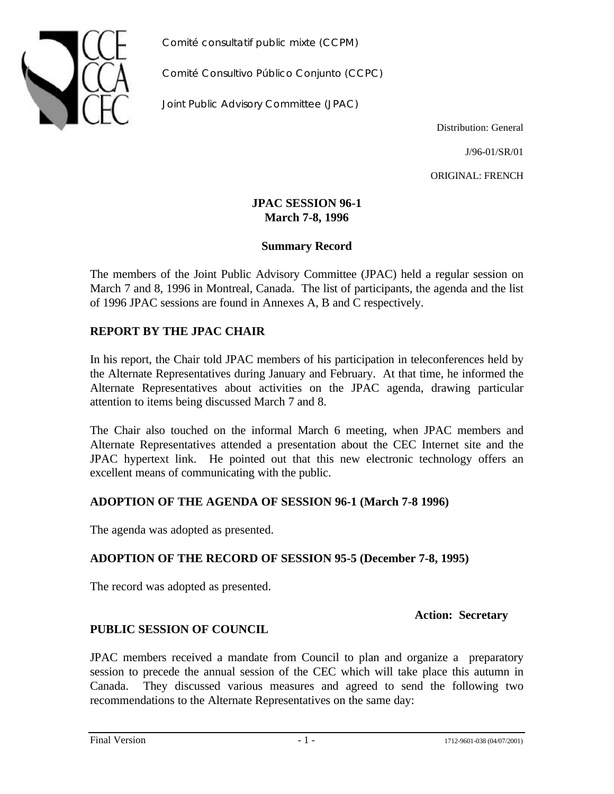

*Comité consultatif public mixte (CCPM)*

*Comité Consultivo Público Conjunto (CCPC)*

*Joint Public Advisory Committee (JPAC)*

Distribution: General

J/96-01/SR/01

ORIGINAL: FRENCH

#### **JPAC SESSION 96-1 March 7-8, 1996**

### **Summary Record**

The members of the Joint Public Advisory Committee (JPAC) held a regular session on March 7 and 8, 1996 in Montreal, Canada. The list of participants, the agenda and the list of 1996 JPAC sessions are found in Annexes A, B and C respectively.

# **REPORT BY THE JPAC CHAIR**

In his report, the Chair told JPAC members of his participation in teleconferences held by the Alternate Representatives during January and February. At that time, he informed the Alternate Representatives about activities on the JPAC agenda, drawing particular attention to items being discussed March 7 and 8.

The Chair also touched on the informal March 6 meeting, when JPAC members and Alternate Representatives attended a presentation about the CEC Internet site and the JPAC hypertext link. He pointed out that this new electronic technology offers an excellent means of communicating with the public.

### **ADOPTION OF THE AGENDA OF SESSION 96-1 (March 7-8 1996)**

The agenda was adopted as presented.

### **ADOPTION OF THE RECORD OF SESSION 95-5 (December 7-8, 1995)**

The record was adopted as presented.

**Action: Secretary**

### **PUBLIC SESSION OF COUNCIL**

JPAC members received a mandate from Council to plan and organize a preparatory session to precede the annual session of the CEC which will take place this autumn in Canada. They discussed various measures and agreed to send the following two recommendations to the Alternate Representatives on the same day: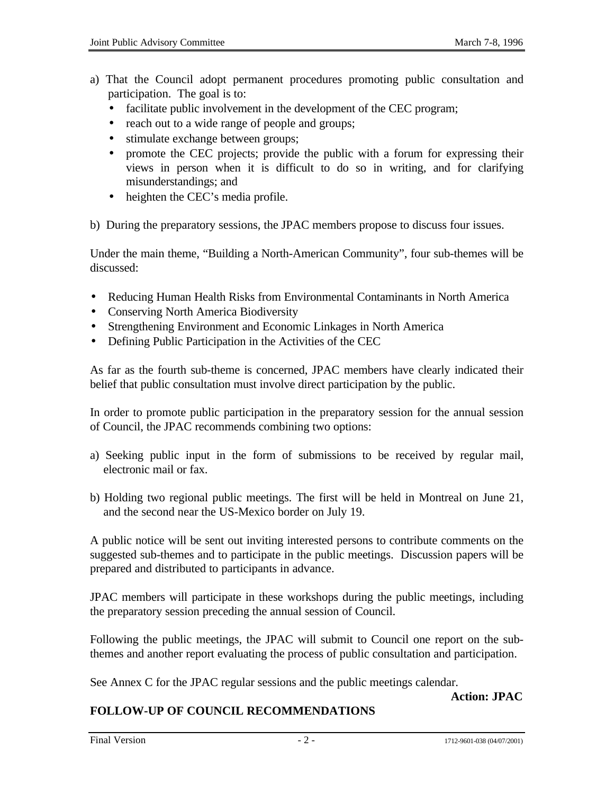- a) That the Council adopt permanent procedures promoting public consultation and participation. The goal is to:
	- facilitate public involvement in the development of the CEC program;
	- reach out to a wide range of people and groups;
	- stimulate exchange between groups;
	- promote the CEC projects; provide the public with a forum for expressing their views in person when it is difficult to do so in writing, and for clarifying misunderstandings; and
	- heighten the CEC's media profile.

b) During the preparatory sessions, the JPAC members propose to discuss four issues.

Under the main theme, "Building a North-American Community", four sub-themes will be discussed:

- Reducing Human Health Risks from Environmental Contaminants in North America
- Conserving North America Biodiversity
- Strengthening Environment and Economic Linkages in North America
- Defining Public Participation in the Activities of the CEC

As far as the fourth sub-theme is concerned, JPAC members have clearly indicated their belief that public consultation must involve direct participation by the public.

In order to promote public participation in the preparatory session for the annual session of Council, the JPAC recommends combining two options:

- a) Seeking public input in the form of submissions to be received by regular mail, electronic mail or fax.
- b) Holding two regional public meetings. The first will be held in Montreal on June 21, and the second near the US-Mexico border on July 19.

A public notice will be sent out inviting interested persons to contribute comments on the suggested sub-themes and to participate in the public meetings. Discussion papers will be prepared and distributed to participants in advance.

JPAC members will participate in these workshops during the public meetings, including the preparatory session preceding the annual session of Council.

Following the public meetings, the JPAC will submit to Council one report on the subthemes and another report evaluating the process of public consultation and participation.

See Annex C for the JPAC regular sessions and the public meetings calendar.

#### **Action: JPAC**

# **FOLLOW-UP OF COUNCIL RECOMMENDATIONS**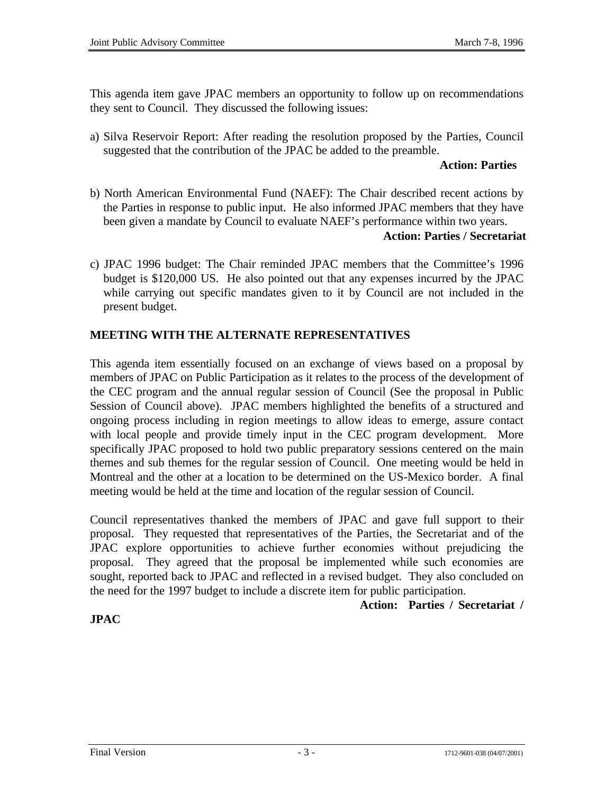This agenda item gave JPAC members an opportunity to follow up on recommendations they sent to Council. They discussed the following issues:

a) Silva Reservoir Report: After reading the resolution proposed by the Parties, Council suggested that the contribution of the JPAC be added to the preamble.

#### **Action: Parties**

b) North American Environmental Fund (NAEF): The Chair described recent actions by the Parties in response to public input. He also informed JPAC members that they have been given a mandate by Council to evaluate NAEF's performance within two years.

#### **Action: Parties / Secretariat**

c) JPAC 1996 budget: The Chair reminded JPAC members that the Committee's 1996 budget is \$120,000 US. He also pointed out that any expenses incurred by the JPAC while carrying out specific mandates given to it by Council are not included in the present budget.

### **MEETING WITH THE ALTERNATE REPRESENTATIVES**

This agenda item essentially focused on an exchange of views based on a proposal by members of JPAC on Public Participation as it relates to the process of the development of the CEC program and the annual regular session of Council (See the proposal in Public Session of Council above). JPAC members highlighted the benefits of a structured and ongoing process including in region meetings to allow ideas to emerge, assure contact with local people and provide timely input in the CEC program development. More specifically JPAC proposed to hold two public preparatory sessions centered on the main themes and sub themes for the regular session of Council. One meeting would be held in Montreal and the other at a location to be determined on the US-Mexico border. A final meeting would be held at the time and location of the regular session of Council.

Council representatives thanked the members of JPAC and gave full support to their proposal. They requested that representatives of the Parties, the Secretariat and of the JPAC explore opportunities to achieve further economies without prejudicing the proposal. They agreed that the proposal be implemented while such economies are sought, reported back to JPAC and reflected in a revised budget. They also concluded on the need for the 1997 budget to include a discrete item for public participation.

 **Action: Parties / Secretariat /**

# **JPAC**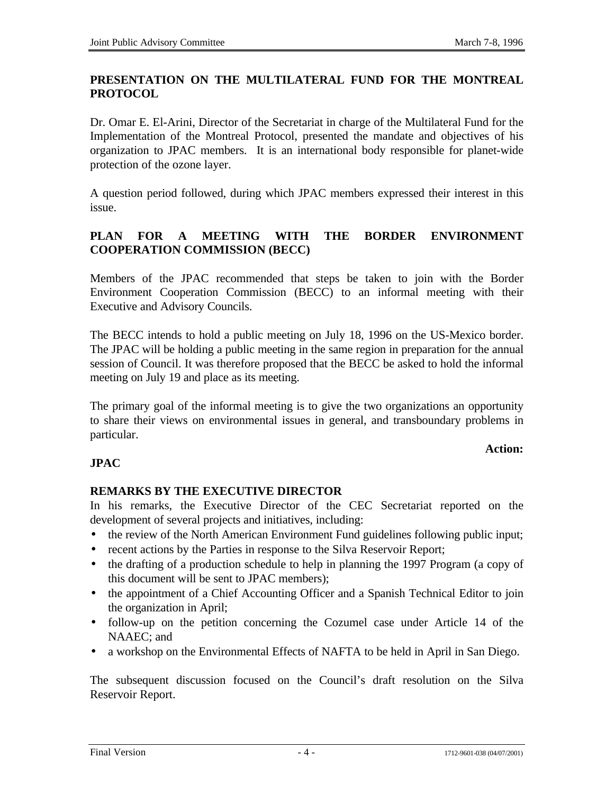## **PRESENTATION ON THE MULTILATERAL FUND FOR THE MONTREAL PROTOCOL**

Dr. Omar E. El-Arini, Director of the Secretariat in charge of the Multilateral Fund for the Implementation of the Montreal Protocol, presented the mandate and objectives of his organization to JPAC members. It is an international body responsible for planet-wide protection of the ozone layer.

A question period followed, during which JPAC members expressed their interest in this issue.

# **PLAN FOR A MEETING WITH THE BORDER ENVIRONMENT COOPERATION COMMISSION (BECC)**

Members of the JPAC recommended that steps be taken to join with the Border Environment Cooperation Commission (BECC) to an informal meeting with their Executive and Advisory Councils.

The BECC intends to hold a public meeting on July 18, 1996 on the US-Mexico border. The JPAC will be holding a public meeting in the same region in preparation for the annual session of Council. It was therefore proposed that the BECC be asked to hold the informal meeting on July 19 and place as its meeting.

The primary goal of the informal meeting is to give the two organizations an opportunity to share their views on environmental issues in general, and transboundary problems in particular.

## **Action:**

### **JPAC**

### **REMARKS BY THE EXECUTIVE DIRECTOR**

In his remarks, the Executive Director of the CEC Secretariat reported on the development of several projects and initiatives, including:

- the review of the North American Environment Fund guidelines following public input;
- recent actions by the Parties in response to the Silva Reservoir Report;
- the drafting of a production schedule to help in planning the 1997 Program (a copy of this document will be sent to JPAC members);
- the appointment of a Chief Accounting Officer and a Spanish Technical Editor to join the organization in April;
- follow-up on the petition concerning the Cozumel case under Article 14 of the NAAEC; and
- a workshop on the Environmental Effects of NAFTA to be held in April in San Diego.

The subsequent discussion focused on the Council's draft resolution on the Silva Reservoir Report.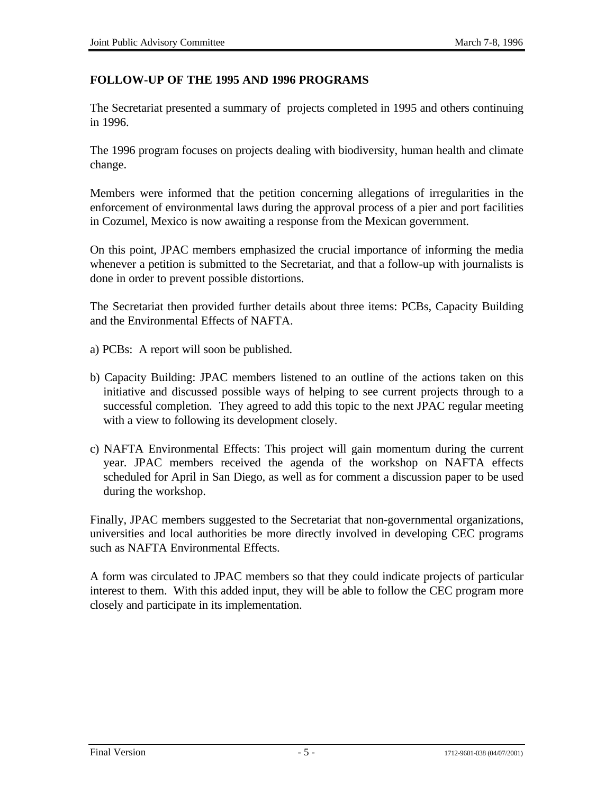## **FOLLOW-UP OF THE 1995 AND 1996 PROGRAMS**

The Secretariat presented a summary of projects completed in 1995 and others continuing in 1996.

The 1996 program focuses on projects dealing with biodiversity, human health and climate change.

Members were informed that the petition concerning allegations of irregularities in the enforcement of environmental laws during the approval process of a pier and port facilities in Cozumel, Mexico is now awaiting a response from the Mexican government.

On this point, JPAC members emphasized the crucial importance of informing the media whenever a petition is submitted to the Secretariat, and that a follow-up with journalists is done in order to prevent possible distortions.

The Secretariat then provided further details about three items: PCBs, Capacity Building and the Environmental Effects of NAFTA.

- a) PCBs: A report will soon be published.
- b) Capacity Building: JPAC members listened to an outline of the actions taken on this initiative and discussed possible ways of helping to see current projects through to a successful completion. They agreed to add this topic to the next JPAC regular meeting with a view to following its development closely.
- c) NAFTA Environmental Effects: This project will gain momentum during the current year. JPAC members received the agenda of the workshop on NAFTA effects scheduled for April in San Diego, as well as for comment a discussion paper to be used during the workshop.

Finally, JPAC members suggested to the Secretariat that non-governmental organizations, universities and local authorities be more directly involved in developing CEC programs such as NAFTA Environmental Effects.

A form was circulated to JPAC members so that they could indicate projects of particular interest to them. With this added input, they will be able to follow the CEC program more closely and participate in its implementation.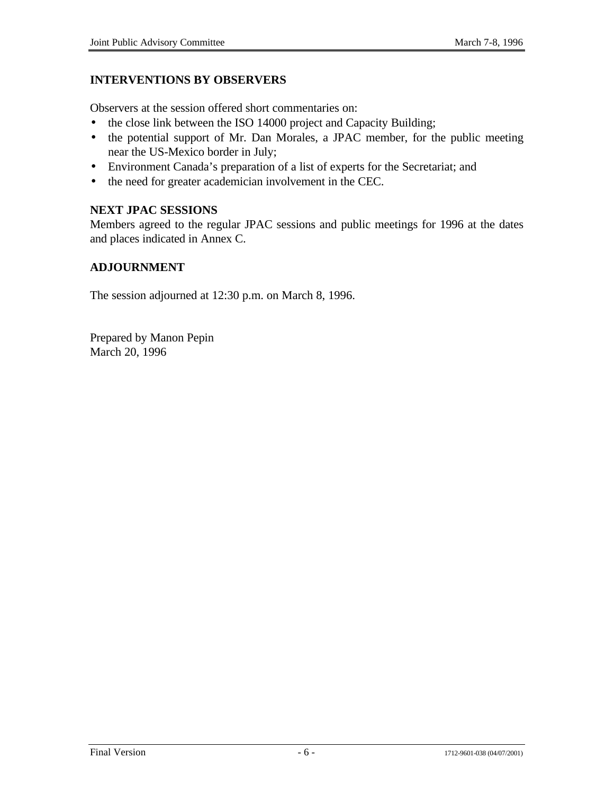## **INTERVENTIONS BY OBSERVERS**

Observers at the session offered short commentaries on:

- the close link between the ISO 14000 project and Capacity Building;
- the potential support of Mr. Dan Morales, a JPAC member, for the public meeting near the US-Mexico border in July;
- Environment Canada's preparation of a list of experts for the Secretariat; and
- the need for greater academician involvement in the CEC.

## **NEXT JPAC SESSIONS**

Members agreed to the regular JPAC sessions and public meetings for 1996 at the dates and places indicated in Annex C.

## **ADJOURNMENT**

The session adjourned at 12:30 p.m. on March 8, 1996.

Prepared by Manon Pepin March 20, 1996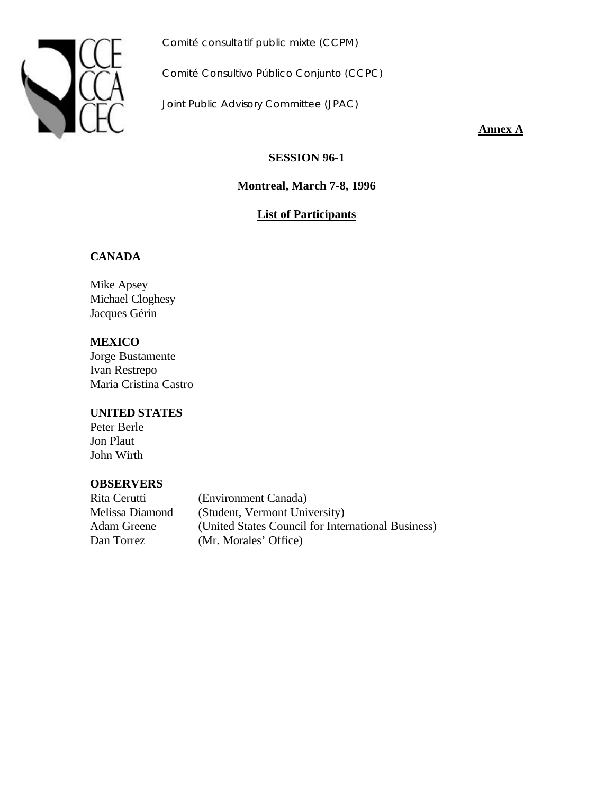

*Comité consultatif public mixte (CCPM)*

*Comité Consultivo Público Conjunto (CCPC)*

*Joint Public Advisory Committee (JPAC)*

**Annex A**

**SESSION 96-1**

**Montreal, March 7-8, 1996**

# **List of Participants**

### **CANADA**

Mike Apsey Michael Cloghesy Jacques Gérin

**MEXICO** Jorge Bustamente Ivan Restrepo Maria Cristina Castro

#### **UNITED STATES**

Peter Berle Jon Plaut John Wirth

### **OBSERVERS**

Rita Cerutti (Environment Canada) Melissa Diamond (Student, Vermont University) Adam Greene (United States Council for International Business) Dan Torrez (Mr. Morales' Office)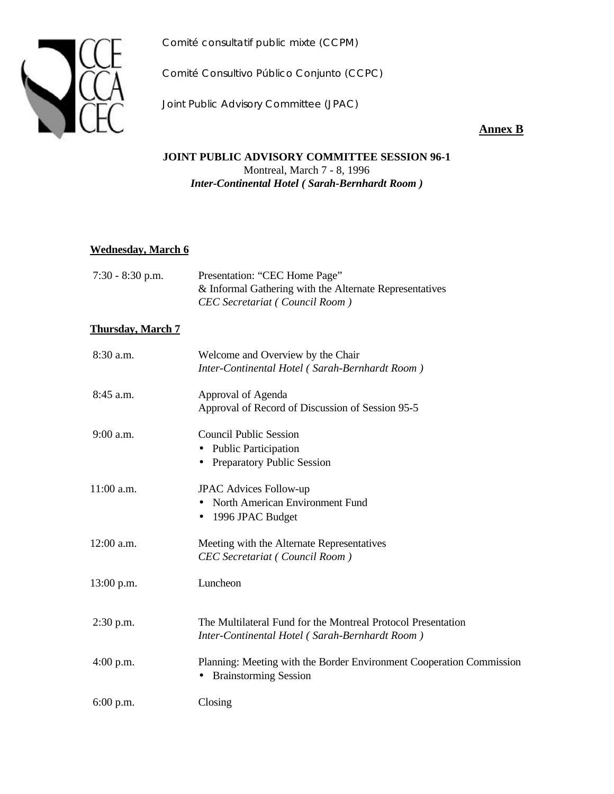*Comité consultatif public mixte (CCPM)*



*Comité Consultivo Público Conjunto (CCPC)*

*Joint Public Advisory Committee (JPAC)*

## **Annex B**

#### **JOINT PUBLIC ADVISORY COMMITTEE SESSION 96-1** Montreal, March 7 - 8, 1996 *Inter-Continental Hotel ( Sarah-Bernhardt Room )*

#### **Wednesday, March 6**

| $7:30 - 8:30$ p.m. | Presentation: "CEC Home Page"                           |
|--------------------|---------------------------------------------------------|
|                    | & Informal Gathering with the Alternate Representatives |
|                    | CEC Secretariat (Council Room)                          |

#### **Thursday, March 7**

| 8:30 a.m.    | Welcome and Overview by the Chair<br>Inter-Continental Hotel (Sarah-Bernhardt Room)                            |
|--------------|----------------------------------------------------------------------------------------------------------------|
| $8:45$ a.m.  | Approval of Agenda<br>Approval of Record of Discussion of Session 95-5                                         |
| 9:00 a.m.    | <b>Council Public Session</b><br><b>Public Participation</b><br>٠<br><b>Preparatory Public Session</b>         |
| 11:00 a.m.   | <b>JPAC Advices Follow-up</b><br>North American Environment Fund<br>• 1996 JPAC Budget                         |
| $12:00$ a.m. | Meeting with the Alternate Representatives<br><b>CEC</b> Secretariat (Council Room)                            |
| $13:00$ p.m. | Luncheon                                                                                                       |
| $2:30$ p.m.  | The Multilateral Fund for the Montreal Protocol Presentation<br>Inter-Continental Hotel (Sarah-Bernhardt Room) |
| $4:00$ p.m.  | Planning: Meeting with the Border Environment Cooperation Commission<br><b>Brainstorming Session</b>           |
| $6:00$ p.m.  | Closing                                                                                                        |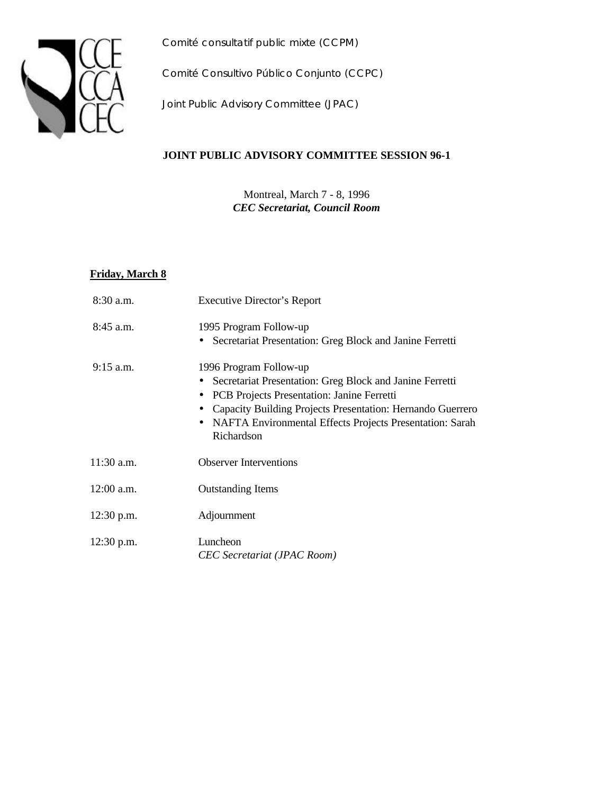



*Comité Consultivo Público Conjunto (CCPC)*

*Joint Public Advisory Committee (JPAC)*

#### **JOINT PUBLIC ADVISORY COMMITTEE SESSION 96-1**

Montreal, March 7 - 8, 1996 *CEC Secretariat, Council Room*

#### **Friday, March 8**

| $8:30$ a.m.  | <b>Executive Director's Report</b>                                                                                                                                                                                                                                                      |
|--------------|-----------------------------------------------------------------------------------------------------------------------------------------------------------------------------------------------------------------------------------------------------------------------------------------|
| $8:45$ a.m.  | 1995 Program Follow-up<br>• Secretariat Presentation: Greg Block and Janine Ferretti                                                                                                                                                                                                    |
| $9:15$ a.m.  | 1996 Program Follow-up<br>Secretariat Presentation: Greg Block and Janine Ferretti<br>PCB Projects Presentation: Janine Ferretti<br>$\bullet$<br>Capacity Building Projects Presentation: Hernando Guerrero<br>• NAFTA Environmental Effects Projects Presentation: Sarah<br>Richardson |
| $11:30$ a.m. | <b>Observer Interventions</b>                                                                                                                                                                                                                                                           |
| $12:00$ a.m. | <b>Outstanding Items</b>                                                                                                                                                                                                                                                                |
| $12:30$ p.m. | Adjournment                                                                                                                                                                                                                                                                             |
| $12:30$ p.m. | Luncheon<br>CEC Secretariat (JPAC Room)                                                                                                                                                                                                                                                 |